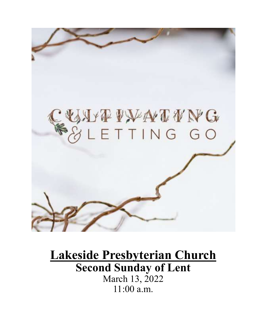

# **Lakeside Presbyterian Church Second Sunday of Lent** March 13, 2022 11:00 a.m.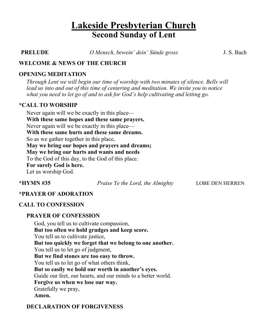# **Lakeside Presbyterian Church Second Sunday of Lent**

**PRELUDE** *O Mensch, bewein' dein' Sünde gross* J. S. Bach

#### **WELCOME & NEWS OF THE CHURCH**

#### **OPENING MEDITATION**

*Through Lent we will begin our time of worship with two minutes of silence. Bells will lead us into and out of this time of centering and meditation. We invite you to notice what you need to let go of and to ask for God's help cultivating and letting go.*

#### **\*CALL TO WORSHIP**

Never again will we be exactly in this place— **With these same hopes and these same prayers.** Never again will we be exactly in this place— **With these same hurts and these same dreams.** So as we gather together in this place, **May we bring our hopes and prayers and dreams; May we bring our hurts and wants and needs** To the God of this day, to the God of this place. **For surely God is here.**

Let us worship God.

**\*HYMN #35** *Praise Ye the Lord, the Almighty* LOBE DEN HERREN

#### **\*PRAYER OF ADORATION**

#### **CALL TO CONFESSION**

#### **PRAYER OF CONFESSION**

God, you tell us to cultivate compassion, **But too often we hold grudges and keep score.** You tell us to cultivate justice, **But too quickly we forget that we belong to one another.** You tell us to let go of judgment, **But we find stones are too easy to throw.** You tell us to let go of what others think, **But so easily we hold our worth in another's eyes.** Guide our feet, our hearts, and our minds to a better world. **Forgive us when we lose our way.** Gratefully we pray, **Amen.**

#### **DECLARATION OF FORGIVENESS**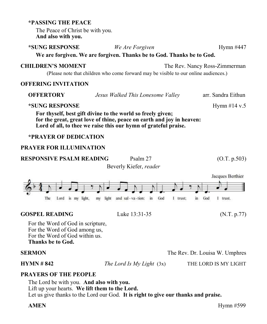### The Peace of Christ be with you. **And also with you. \*SUNG RESPONSE** *We Are Forgiven* Hymn #447 **We are forgiven. We are forgiven. Thanks be to God. Thanks be to God. CHILDREN'S MOMENT** The Rev. Nancy Ross-Zimmerman (Please note that children who come forward may be visible to our online audiences.) **OFFERING INVITATION OFFERTORY** *Jesus Walked This Lonesome Valley* arr. Sandra Eithun **\*SUNG RESPONSE** Hymn #14 v.5 **For thyself, best gift divine to the world so freely given; for the great, great love of thine, peace on earth and joy in heaven: Lord of all, to thee we raise this our hymn of grateful praise. \*PRAYER OF DEDICATION PRAYER FOR ILLUMINATION RESPONSIVE PSALM READING** Psalm 27 (O.T. p.503) Beverly Kiefer, *reader* Jacques Berthier Lord is my light, my light and sal-va-tion: in God 1 trust: in God I trust. The **GOSPEL READING** Luke 13:31-35 (N.T. p.77) For the Word of God in scripture, For the Word of God among us, For the Word of God within us.

#### **SERMON** The Rev. Dr. Louisa W. Umphres

**HYMN # 842** *The Lord Is My Light* (3x) THE LORD IS MY LIGHT

#### **PRAYERS OF THE PEOPLE**

**Thanks be to God.**

**\*PASSING THE PEACE**

The Lord be with you. **And also with you.** Lift up your hearts. **We lift them to the Lord.** Let us give thanks to the Lord our God. **It is right to give our thanks and praise.**

**AMEN** Hymn #599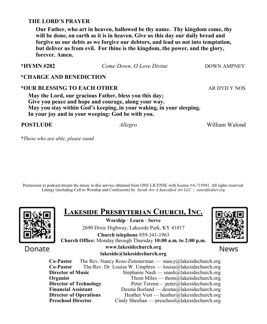#### **THE LORD'S PRAYER**

**Our Father, who art in heaven, hallowed be thy name. Thy kingdom come, thy will be done, on earth as it is in heaven. Give us this day our daily bread and forgive us our debts as we forgive our debtors, and lead us not into temptation, but deliver us from evil. For thine is the kingdom, the power, and the glory, forever. Amen.**

**\*HYMN #282** *Come Down, O Love Divine* DOWN AMPNEY

#### **\*CHARGE AND BENEDICTION**

#### \*OUR BLESSING TO EACH OTHER ARE ARE ARRESTED FOR A REAL ARREST ARR AND Y NOS

**May the Lord, our gracious Father, bless you this day; Give you peace and hope and courage, along your way. May you stay within God's keeping, in your waking, in your sleeping. In your joy and in your weeping: God be with you.**

**POSTLUDE** *Allegro* William Walond

*\*Those who are able, please stand*

Permission to podcast/stream the music in this service obtained from ONE LICENSE with license #A-715941. All rights reserved. Liturgy (including Call to Worship and Confession) by *Sarah Are A Sanctified Art LLC | sanctifiedart.org*



# **Lakeside Presbyterian Church, Inc.**

**Worship · Learn · Serve** 2690 Dixie Highway, Lakeside Park, KY 41017

**Church telephone** 859-341-1963 **Church Office:** Monday through Thursday **10:00 a.m. to 2:00 p.m.**

News

Donate

#### **www.lakesidechurch.org lakeside@lakesidechurch.org**

**Co-Pastor** The Rev. Nancy Ross-Zimmerman — nancy@lakesidechurch.org **Co-Pastor** The Rev. Dr. Louisa W. Umphres — louisa@lakesidechurch.org **Director of Music** Stephanie Nash — snash@lakesidechurch.org **Organist** Thom Miles — thom all the intervalse of the Thom Miles — thom all the intervalse of the intervalse of the intervalse of the intervalse of the intervalse of the intervalse of the intervalse of the intervalse of t **Director of Technology** Peter Teremi— peter@lakesidechurch.org<br> **Financial Assistant** Desma Borland — desma@lakesidechurch.org Desma Borland — desma@lakesidechurch.org **Director of Operations** Heather Vest — heather@lakesidechurch.org<br> **Preschool Director** Cindy Sheehan — preschool@lakesidechurch.org Cindy Sheehan — preschool@lakesidechurch.org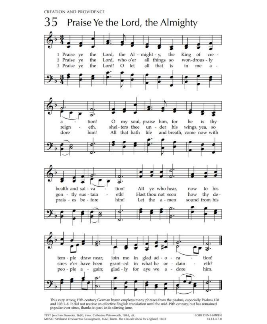**CREATION AND PROVIDENCE** 



This very strong 17th-century German hymn employs many phrases from the psalms, especially Psalms 150 and 103:1-6. It did not receive an effective English translation until the mid-19th century, but has remained popular ever since, thanks in part to its stirring tune.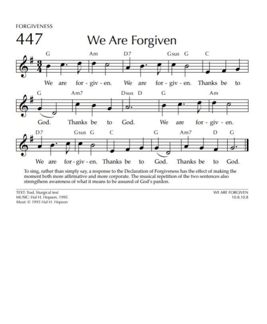**FORGIVENESS** 



To sing, rather than simply say, a response to the Declaration of Forgiveness has the effect of making the moment both more affirmative and more corporate. The musical repetition of the two sentences also strengthens awareness of what it means to be assured of God's pardon.

TEXT: Trad. liturgical text MUSIC: Hal H. Hopson, 1995 Music @ 1995 Hal H. Hopson WE ARE FORGIVEN 10.8.10.8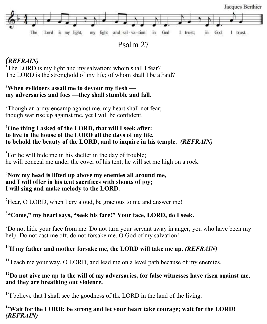

Psalm 27

# *(REFRAIN)*

<sup>1</sup>The LORD is my light and my salvation; whom shall I fear? The LORD is the stronghold of my life; of whom shall I be afraid?

### **<sup>2</sup>When evildoers assail me to devour my flesh my adversaries and foes —they shall stumble and fall.**

 $3$ Though an army encamp against me, my heart shall not fear; though war rise up against me, yet I will be confident.

#### **<sup>4</sup>One thing I asked of the LORD, that will I seek after: to live in the house of the LORD all the days of my life, to behold the beauty of the LORD, and to inquire in his temple.** *(REFRAIN)*

 ${}^{5}$ For he will hide me in his shelter in the day of trouble; he will conceal me under the cover of his tent; he will set me high on a rock.

#### **<sup>6</sup>Now my head is lifted up above my enemies all around me, and I will offer in his tent sacrifices with shouts of joy; I will sing and make melody to the LORD.**

 $\mu$ <sup>7</sup>Hear, O LORD, when I cry aloud, be gracious to me and answer me!

# **8 "Come," my heart says, "seek his face!" Your face, LORD, do I seek.**

 $9D$ o not hide your face from me. Do not turn your servant away in anger, you who have been my help. Do not cast me off, do not forsake me, O God of my salvation!

# <sup>10</sup>**If my father and mother forsake me, the LORD will take me up.** *(REFRAIN)*

 $11$ <sup>T</sup>each me your way, O LORD, and lead me on a level path because of my enemies.

### **<sup>12</sup>Do not give me up to the will of my adversaries, for false witnesses have risen against me, and they are breathing out violence.**

 $^{13}$ I believe that I shall see the goodness of the LORD in the land of the living.

### **<sup>14</sup>Wait for the LORD; be strong and let your heart take courage; wait for the LORD!**  *(REFRAIN)*